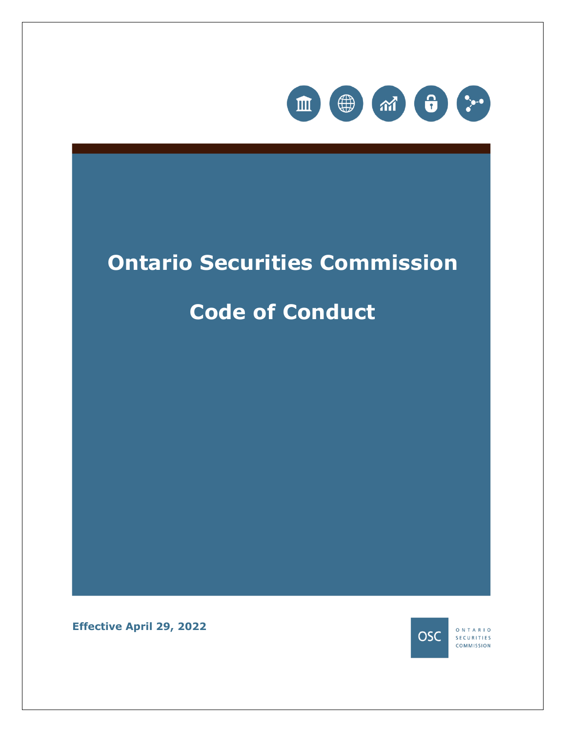

# **Ontario Securities Commission**

# **Code of Conduct**

**Effective April 29, 2022**



ONTARIO SECURITIES **COMMISSION**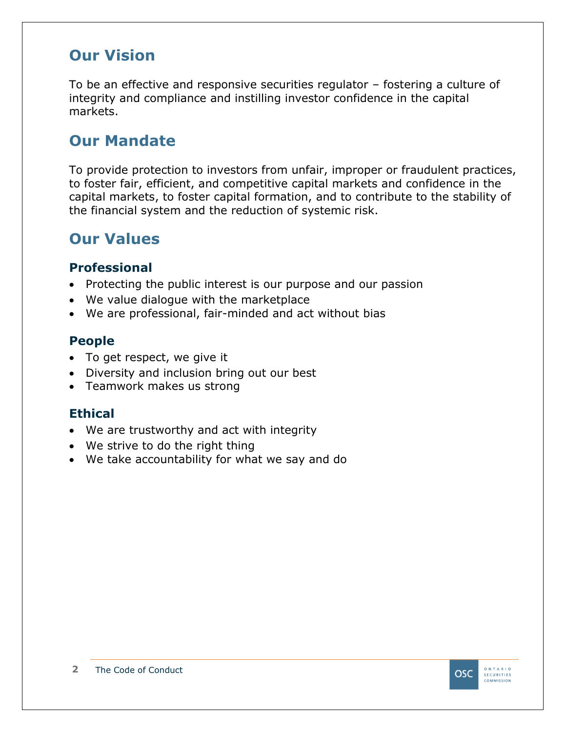### **Our Vision**

To be an effective and responsive securities regulator – fostering a culture of integrity and compliance and instilling investor confidence in the capital markets.

### **Our Mandate**

To provide protection to investors from unfair, improper or fraudulent practices, to foster fair, efficient, and competitive capital markets and confidence in the capital markets, to foster capital formation, and to contribute to the stability of the financial system and the reduction of systemic risk.

### **Our Values**

#### **Professional**

- Protecting the public interest is our purpose and our passion
- We value dialogue with the marketplace
- We are professional, fair-minded and act without bias

#### **People**

- To get respect, we give it
- Diversity and inclusion bring out our best
- Teamwork makes us strong

#### **Ethical**

- We are trustworthy and act with integrity
- We strive to do the right thing
- We take accountability for what we say and do

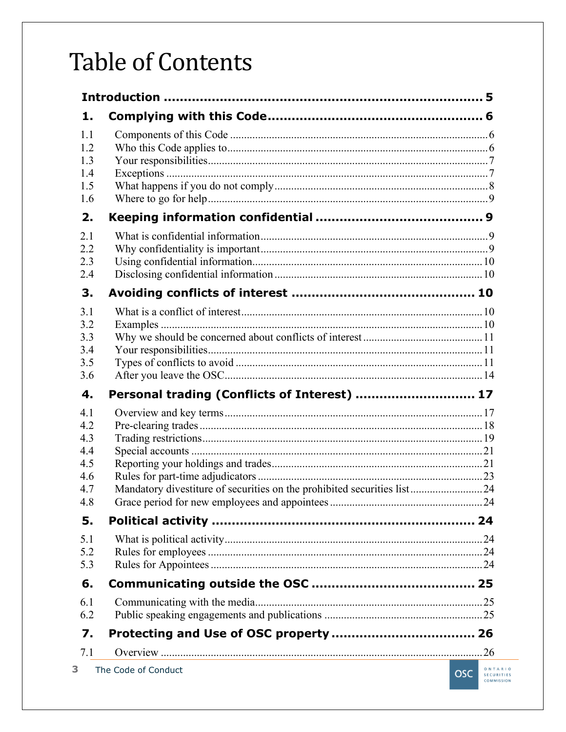# **Table of Contents**

| 1.                                                   |                                                                         |                        |  |  |
|------------------------------------------------------|-------------------------------------------------------------------------|------------------------|--|--|
| 1.1<br>1.2<br>1.3<br>1.4<br>1.5<br>1.6               |                                                                         |                        |  |  |
| 2.                                                   |                                                                         |                        |  |  |
| 2.1<br>2.2<br>2.3<br>2.4                             |                                                                         |                        |  |  |
| 3.                                                   |                                                                         |                        |  |  |
| 3.1<br>3.2<br>3.3<br>3.4<br>3.5<br>3.6               |                                                                         |                        |  |  |
| 4.                                                   | Personal trading (Conflicts of Interest)  17                            |                        |  |  |
| 4.1<br>4.2<br>4.3<br>4.4<br>4.5<br>4.6<br>4.7<br>4.8 | Mandatory divestiture of securities on the prohibited securities list24 |                        |  |  |
| 5.                                                   |                                                                         |                        |  |  |
| 5.1<br>5.2<br>5.3                                    |                                                                         |                        |  |  |
| 6.                                                   |                                                                         |                        |  |  |
| 6.1<br>6.2                                           |                                                                         |                        |  |  |
| 7.                                                   |                                                                         |                        |  |  |
| 7.1<br>3                                             | The Code of Conduct                                                     | ONTA<br>C <sub>2</sub> |  |  |

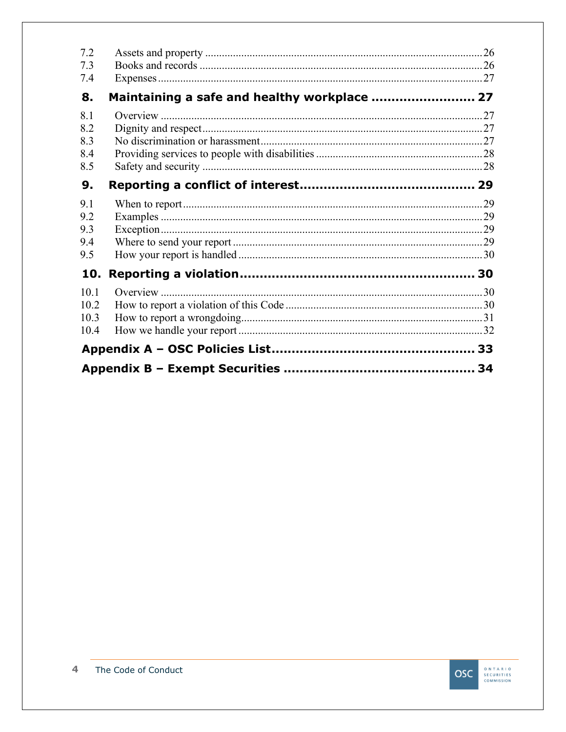| 10.1<br>10.2<br>10.3<br>10.4    |                                              |  |
|---------------------------------|----------------------------------------------|--|
| 10.                             |                                              |  |
| 9.1<br>9.2<br>9.3<br>9.4<br>9.5 |                                              |  |
| 9.                              |                                              |  |
| 8.1<br>8.2<br>8.3<br>8.4<br>8.5 |                                              |  |
| 8.                              | Maintaining a safe and healthy workplace  27 |  |
| 7.4                             |                                              |  |
| 7.3                             |                                              |  |
| 7.2                             |                                              |  |

ONTARIO<br>SECURITIES<br>COMMISSION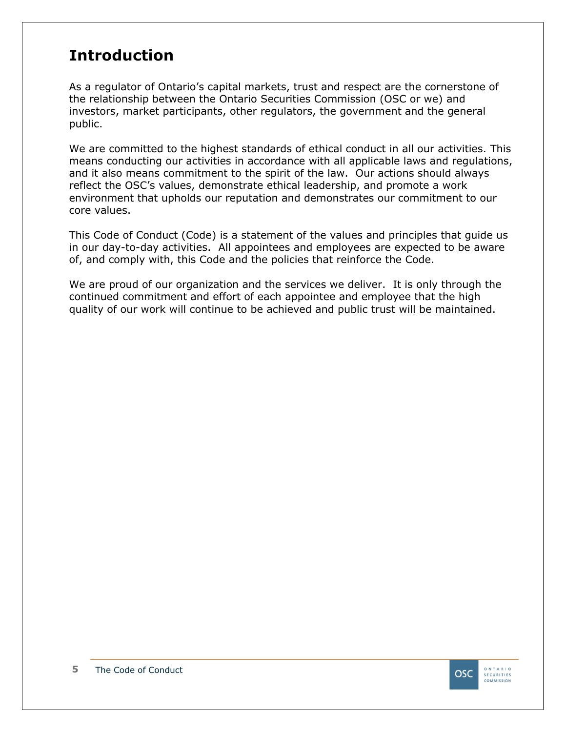### <span id="page-4-0"></span>**Introduction**

As a regulator of Ontario's capital markets, trust and respect are the cornerstone of the relationship between the Ontario Securities Commission (OSC or we) and investors, market participants, other regulators, the government and the general public.

We are committed to the highest standards of ethical conduct in all our activities. This means conducting our activities in accordance with all applicable laws and regulations, and it also means commitment to the spirit of the law. Our actions should always reflect the OSC's values, demonstrate ethical leadership, and promote a work environment that upholds our reputation and demonstrates our commitment to our core values.

This Code of Conduct (Code) is a statement of the values and principles that guide us in our day-to-day activities. All appointees and employees are expected to be aware of, and comply with, this Code and the policies that reinforce the Code.

We are proud of our organization and the services we deliver. It is only through the continued commitment and effort of each appointee and employee that the high quality of our work will continue to be achieved and public trust will be maintained.

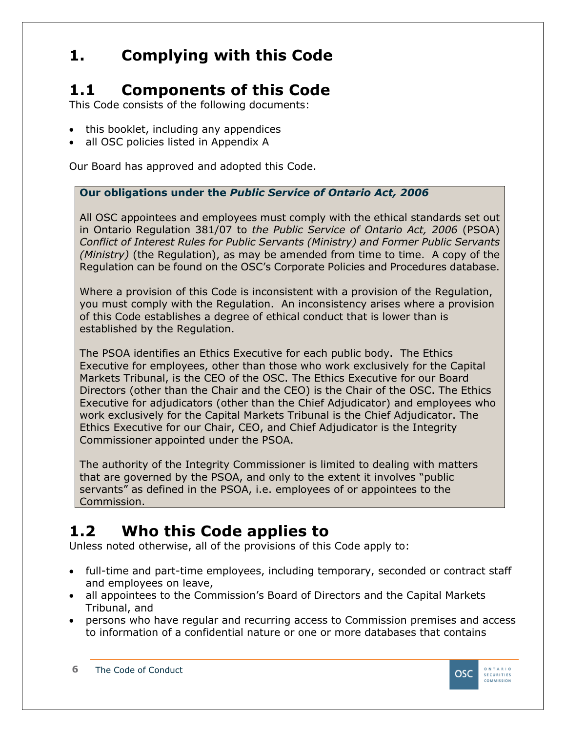## <span id="page-5-0"></span>**1. Complying with this Code**

# <span id="page-5-1"></span>**1.1 Components of this Code**

This Code consists of the following documents:

- this booklet, including any appendices
- all OSC policies listed in Appendix A

Our Board has approved and adopted this Code.

#### **Our obligations under the** *Public Service of Ontario Act, 2006*

All OSC appointees and employees must comply with the ethical standards set out in Ontario Regulation 381/07 to *the Public Service of Ontario Act, 2006* (PSOA) *Conflict of Interest Rules for Public Servants (Ministry) and Former Public Servants (Ministry)* (the Regulation), as may be amended from time to time. A copy of the Regulation can be found on the OSC's Corporate Policies and Procedures database.

Where a provision of this Code is inconsistent with a provision of the Regulation, you must comply with the Regulation. An inconsistency arises where a provision of this Code establishes a degree of ethical conduct that is lower than is established by the Regulation.

The PSOA identifies an Ethics Executive for each public body. The Ethics Executive for employees, other than those who work exclusively for the Capital Markets Tribunal, is the CEO of the OSC. The Ethics Executive for our Board Directors (other than the Chair and the CEO) is the Chair of the OSC. The Ethics Executive for adjudicators (other than the Chief Adjudicator) and employees who work exclusively for the Capital Markets Tribunal is the Chief Adjudicator. The Ethics Executive for our Chair, CEO, and Chief Adjudicator is the Integrity Commissioner appointed under the PSOA.

The authority of the Integrity Commissioner is limited to dealing with matters that are governed by the PSOA, and only to the extent it involves "public servants" as defined in the PSOA, i.e. employees of or appointees to the Commission.

# <span id="page-5-2"></span>**1.2 Who this Code applies to**

Unless noted otherwise, all of the provisions of this Code apply to:

- full-time and part-time employees, including temporary, seconded or contract staff and employees on leave,
- all appointees to the Commission's Board of Directors and the Capital Markets Tribunal, and
- persons who have regular and recurring access to Commission premises and access to information of a confidential nature or one or more databases that contains

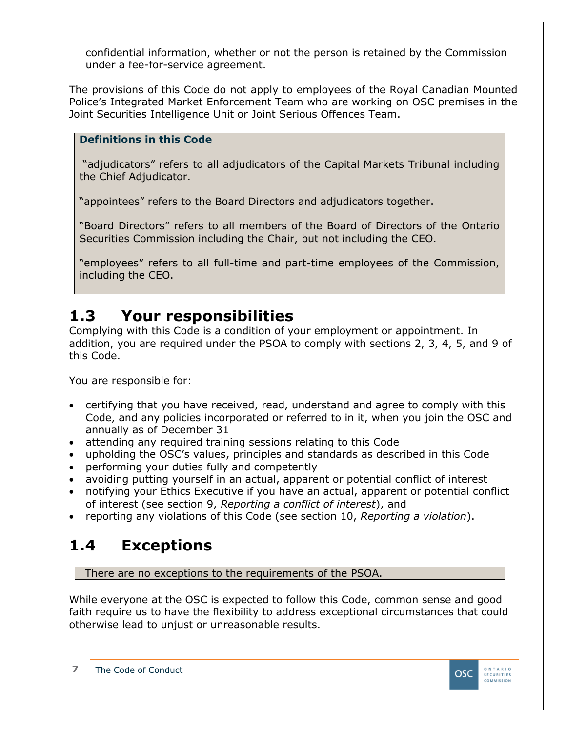confidential information, whether or not the person is retained by the Commission under a fee-for-service agreement.

The provisions of this Code do not apply to employees of the Royal Canadian Mounted Police's Integrated Market Enforcement Team who are working on OSC premises in the Joint Securities Intelligence Unit or Joint Serious Offences Team.

#### **Definitions in this Code**

"adjudicators" refers to all adjudicators of the Capital Markets Tribunal including the Chief Adjudicator.

"appointees" refers to the Board Directors and adjudicators together.

"Board Directors" refers to all members of the Board of Directors of the Ontario Securities Commission including the Chair, but not including the CEO.

"employees" refers to all full-time and part-time employees of the Commission, including the CEO.

### <span id="page-6-0"></span>**1.3 Your responsibilities**

Complying with this Code is a condition of your employment or appointment. In addition, you are required under the PSOA to comply with sections 2, 3, 4, 5, and 9 of this Code.

You are responsible for:

- certifying that you have received, read, understand and agree to comply with this Code, and any policies incorporated or referred to in it, when you join the OSC and annually as of December 31
- attending any required training sessions relating to this Code
- upholding the OSC's values, principles and standards as described in this Code
- performing your duties fully and competently
- avoiding putting yourself in an actual, apparent or potential conflict of interest
- notifying your Ethics Executive if you have an actual, apparent or potential conflict of interest (see section 9, *Reporting a conflict of interest*), and
- reporting any violations of this Code (see section 10, *Reporting a violation*).

### <span id="page-6-1"></span>**1.4 Exceptions**

There are no exceptions to the requirements of the PSOA.

While everyone at the OSC is expected to follow this Code, common sense and good faith require us to have the flexibility to address exceptional circumstances that could otherwise lead to unjust or unreasonable results.

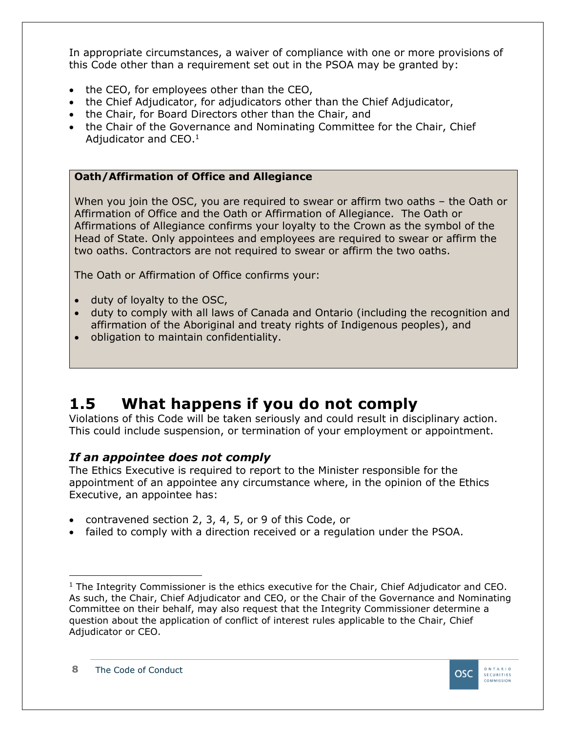In appropriate circumstances, a waiver of compliance with one or more provisions of this Code other than a requirement set out in the PSOA may be granted by:

- the CEO, for employees other than the CEO,
- the Chief Adjudicator, for adjudicators other than the Chief Adjudicator,
- the Chair, for Board Directors other than the Chair, and
- the Chair of the Governance and Nominating Committee for the Chair, Chief Adjudicator and CEO.<sup>1</sup>

#### **Oath/Affirmation of Office and Allegiance**

When you join the OSC, you are required to swear or affirm two oaths – the Oath or Affirmation of Office and the Oath or Affirmation of Allegiance. The Oath or Affirmations of Allegiance confirms your loyalty to the Crown as the symbol of the Head of State. Only appointees and employees are required to swear or affirm the two oaths. Contractors are not required to swear or affirm the two oaths.

The Oath or Affirmation of Office confirms your:

- duty of loyalty to the OSC,
- duty to comply with all laws of Canada and Ontario (including the recognition and affirmation of the Aboriginal and treaty rights of Indigenous peoples), and
- obligation to maintain confidentiality.

### <span id="page-7-0"></span>**1.5 What happens if you do not comply**

Violations of this Code will be taken seriously and could result in disciplinary action. This could include suspension, or termination of your employment or appointment.

#### *If an appointee does not comply*

The Ethics Executive is required to report to the Minister responsible for the appointment of an appointee any circumstance where, in the opinion of the Ethics Executive, an appointee has:

- contravened section 2, 3, 4, 5, or 9 of this Code, or
- failed to comply with a direction received or a regulation under the PSOA.



 $1$  The Integrity Commissioner is the ethics executive for the Chair, Chief Adjudicator and CEO. As such, the Chair, Chief Adjudicator and CEO, or the Chair of the Governance and Nominating Committee on their behalf, may also request that the Integrity Commissioner determine a question about the application of conflict of interest rules applicable to the Chair, Chief Adjudicator or CEO.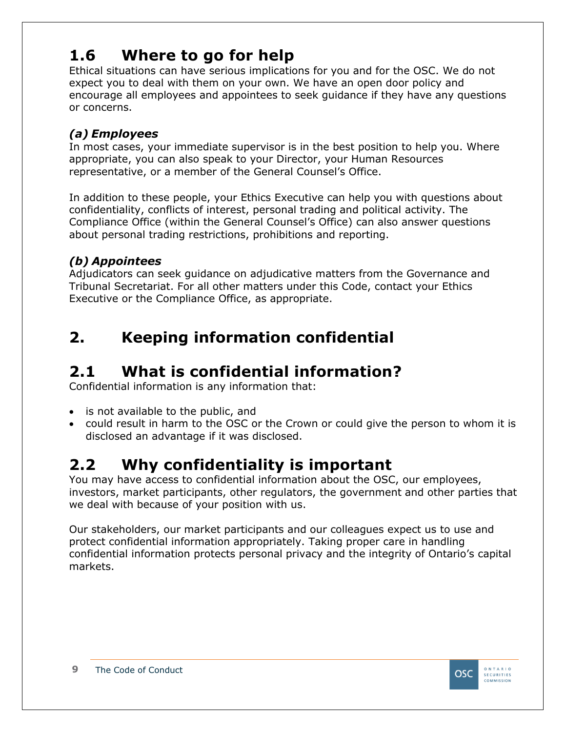### <span id="page-8-0"></span>**1.6 Where to go for help**

Ethical situations can have serious implications for you and for the OSC. We do not expect you to deal with them on your own. We have an open door policy and encourage all employees and appointees to seek guidance if they have any questions or concerns.

#### *(a) Employees*

In most cases, your immediate supervisor is in the best position to help you. Where appropriate, you can also speak to your Director, your Human Resources representative, or a member of the General Counsel's Office.

In addition to these people, your Ethics Executive can help you with questions about confidentiality, conflicts of interest, personal trading and political activity. The Compliance Office (within the General Counsel's Office) can also answer questions about personal trading restrictions, prohibitions and reporting.

#### *(b) Appointees*

Adjudicators can seek guidance on adjudicative matters from the Governance and Tribunal Secretariat. For all other matters under this Code, contact your Ethics Executive or the Compliance Office, as appropriate.

### <span id="page-8-1"></span>**2. Keeping information confidential**

### <span id="page-8-2"></span>**2.1 What is confidential information?**

Confidential information is any information that:

- is not available to the public, and
- could result in harm to the OSC or the Crown or could give the person to whom it is disclosed an advantage if it was disclosed.

### <span id="page-8-3"></span>**2.2 Why confidentiality is important**

You may have access to confidential information about the OSC, our employees, investors, market participants, other regulators, the government and other parties that we deal with because of your position with us.

Our stakeholders, our market participants and our colleagues expect us to use and protect confidential information appropriately. Taking proper care in handling confidential information protects personal privacy and the integrity of Ontario's capital markets.

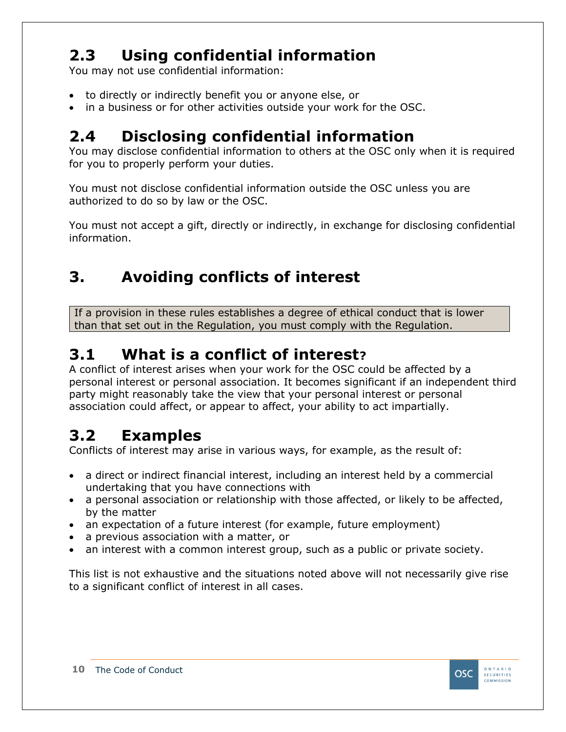# <span id="page-9-0"></span>**2.3 Using confidential information**

You may not use confidential information:

- to directly or indirectly benefit you or anyone else, or
- in a business or for other activities outside your work for the OSC.

## <span id="page-9-1"></span>**2.4 Disclosing confidential information**

You may disclose confidential information to others at the OSC only when it is required for you to properly perform your duties.

You must not disclose confidential information outside the OSC unless you are authorized to do so by law or the OSC.

You must not accept a gift, directly or indirectly, in exchange for disclosing confidential information.

## <span id="page-9-2"></span>**3. Avoiding conflicts of interest**

If a provision in these rules establishes a degree of ethical conduct that is lower than that set out in the Regulation, you must comply with the Regulation.

### <span id="page-9-3"></span>**3.1 What is a conflict of interest?**

A conflict of interest arises when your work for the OSC could be affected by a personal interest or personal association. It becomes significant if an independent third party might reasonably take the view that your personal interest or personal association could affect, or appear to affect, your ability to act impartially.

### <span id="page-9-4"></span>**3.2 Examples**

Conflicts of interest may arise in various ways, for example, as the result of:

- a direct or indirect financial interest, including an interest held by a commercial undertaking that you have connections with
- a personal association or relationship with those affected, or likely to be affected, by the matter
- an expectation of a future interest (for example, future employment)
- a previous association with a matter, or
- an interest with a common interest group, such as a public or private society.

This list is not exhaustive and the situations noted above will not necessarily give rise to a significant conflict of interest in all cases.

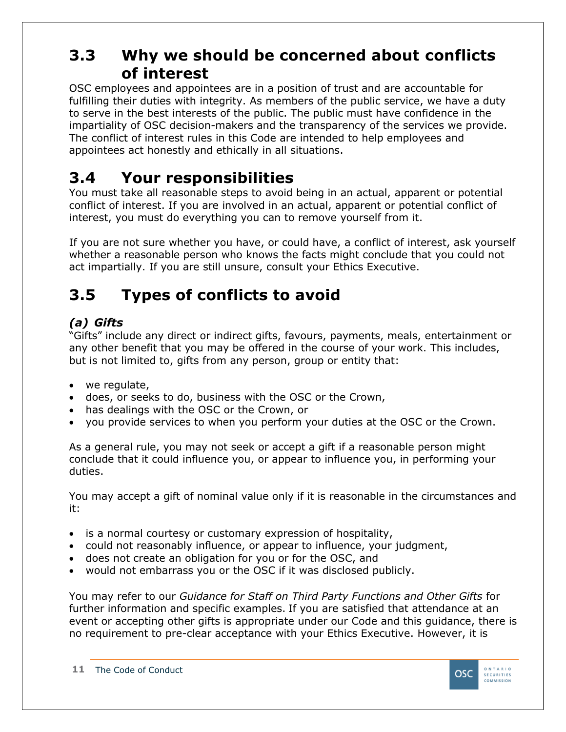### <span id="page-10-0"></span>**3.3 Why we should be concerned about conflicts of interest**

OSC employees and appointees are in a position of trust and are accountable for fulfilling their duties with integrity. As members of the public service, we have a duty to serve in the best interests of the public. The public must have confidence in the impartiality of OSC decision-makers and the transparency of the services we provide. The conflict of interest rules in this Code are intended to help employees and appointees act honestly and ethically in all situations.

### <span id="page-10-1"></span>**3.4 Your responsibilities**

You must take all reasonable steps to avoid being in an actual, apparent or potential conflict of interest. If you are involved in an actual, apparent or potential conflict of interest, you must do everything you can to remove yourself from it.

If you are not sure whether you have, or could have, a conflict of interest, ask yourself whether a reasonable person who knows the facts might conclude that you could not act impartially. If you are still unsure, consult your Ethics Executive.

### <span id="page-10-2"></span>**3.5 Types of conflicts to avoid**

#### *(a) Gifts*

"Gifts" include any direct or indirect gifts, favours, payments, meals, entertainment or any other benefit that you may be offered in the course of your work. This includes, but is not limited to, gifts from any person, group or entity that:

- we regulate,
- does, or seeks to do, business with the OSC or the Crown,
- has dealings with the OSC or the Crown, or
- you provide services to when you perform your duties at the OSC or the Crown.

As a general rule, you may not seek or accept a gift if a reasonable person might conclude that it could influence you, or appear to influence you, in performing your duties.

You may accept a gift of nominal value only if it is reasonable in the circumstances and it:

- is a normal courtesy or customary expression of hospitality,
- could not reasonably influence, or appear to influence, your judgment,
- does not create an obligation for you or for the OSC, and
- would not embarrass you or the OSC if it was disclosed publicly.

You may refer to our *Guidance for Staff on Third Party Functions and Other Gifts* for further information and specific examples. If you are satisfied that attendance at an event or accepting other gifts is appropriate under our Code and this guidance, there is no requirement to pre-clear acceptance with your Ethics Executive. However, it is

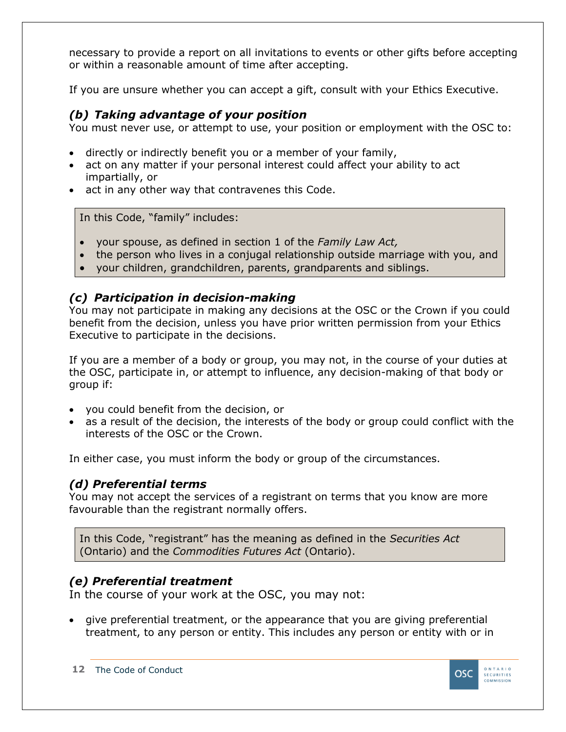necessary to provide a report on all invitations to events or other gifts before accepting or within a reasonable amount of time after accepting.

If you are unsure whether you can accept a gift, consult with your Ethics Executive.

#### *(b) Taking advantage of your position*

You must never use, or attempt to use, your position or employment with the OSC to:

- directly or indirectly benefit you or a member of your family,
- act on any matter if your personal interest could affect your ability to act impartially, or
- act in any other way that contravenes this Code.

In this Code, "family" includes:

- your spouse, as defined in section 1 of the *Family Law Act,*
- the person who lives in a conjugal relationship outside marriage with you, and
- your children, grandchildren, parents, grandparents and siblings.

#### *(c) Participation in decision-making*

You may not participate in making any decisions at the OSC or the Crown if you could benefit from the decision, unless you have prior written permission from your Ethics Executive to participate in the decisions.

If you are a member of a body or group, you may not, in the course of your duties at the OSC, participate in, or attempt to influence, any decision-making of that body or group if:

- you could benefit from the decision, or
- as a result of the decision, the interests of the body or group could conflict with the interests of the OSC or the Crown.

In either case, you must inform the body or group of the circumstances.

#### *(d) Preferential terms*

You may not accept the services of a registrant on terms that you know are more favourable than the registrant normally offers.

In this Code, "registrant" has the meaning as defined in the *Securities Act* (Ontario) and the *Commodities Futures Act* (Ontario).

#### *(e) Preferential treatment*

In the course of your work at the OSC, you may not:

give preferential treatment, or the appearance that you are giving preferential treatment, to any person or entity. This includes any person or entity with or in

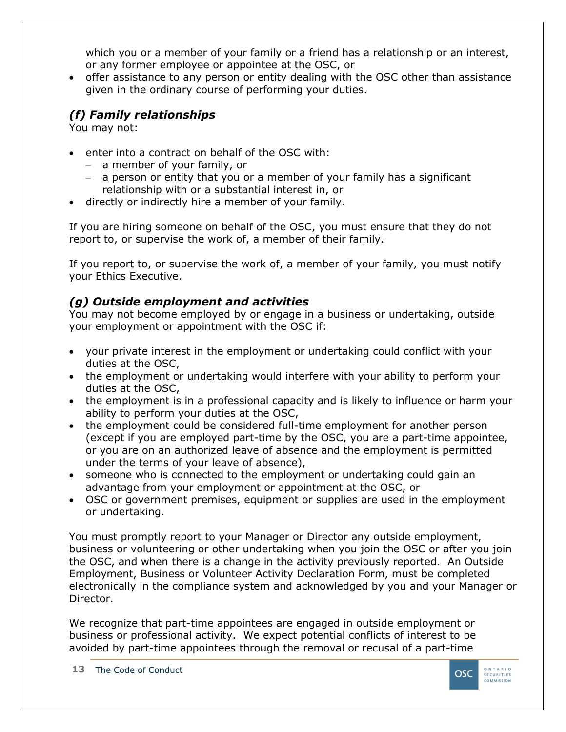which you or a member of your family or a friend has a relationship or an interest, or any former employee or appointee at the OSC, or

• offer assistance to any person or entity dealing with the OSC other than assistance given in the ordinary course of performing your duties.

#### *(f) Family relationships*

You may not:

- enter into a contract on behalf of the OSC with:
	- ‒ a member of your family, or
	- ‒ a person or entity that you or a member of your family has a significant relationship with or a substantial interest in, or
- directly or indirectly hire a member of your family.

If you are hiring someone on behalf of the OSC, you must ensure that they do not report to, or supervise the work of, a member of their family.

If you report to, or supervise the work of, a member of your family, you must notify your Ethics Executive.

#### *(g) Outside employment and activities*

You may not become employed by or engage in a business or undertaking, outside your employment or appointment with the OSC if:

- your private interest in the employment or undertaking could conflict with your duties at the OSC,
- the employment or undertaking would interfere with your ability to perform your duties at the OSC,
- the employment is in a professional capacity and is likely to influence or harm your ability to perform your duties at the OSC,
- the employment could be considered full-time employment for another person (except if you are employed part-time by the OSC, you are a part-time appointee, or you are on an authorized leave of absence and the employment is permitted under the terms of your leave of absence),
- someone who is connected to the employment or undertaking could gain an advantage from your employment or appointment at the OSC, or
- OSC or government premises, equipment or supplies are used in the employment or undertaking.

You must promptly report to your Manager or Director any outside employment, business or volunteering or other undertaking when you join the OSC or after you join the OSC, and when there is a change in the activity previously reported. An Outside Employment, Business or Volunteer Activity Declaration Form, must be completed electronically in the compliance system and acknowledged by you and your Manager or Director.

We recognize that part-time appointees are engaged in outside employment or business or professional activity. We expect potential conflicts of interest to be avoided by part-time appointees through the removal or recusal of a part-time

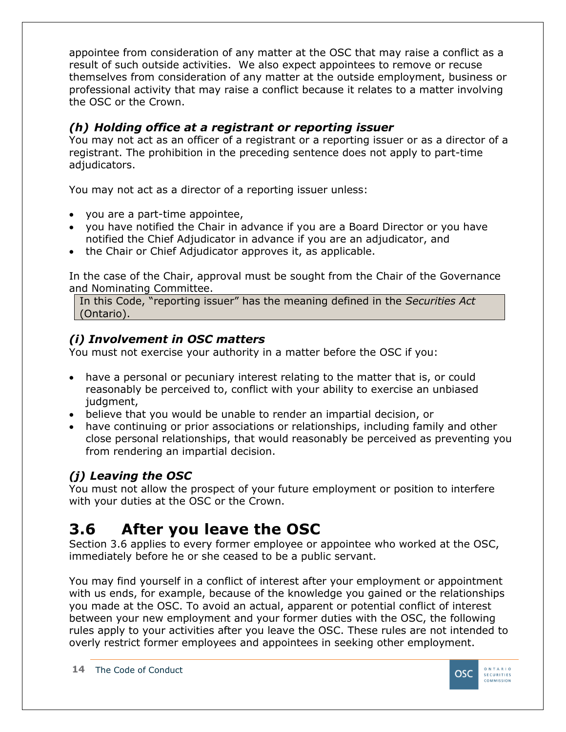appointee from consideration of any matter at the OSC that may raise a conflict as a result of such outside activities. We also expect appointees to remove or recuse themselves from consideration of any matter at the outside employment, business or professional activity that may raise a conflict because it relates to a matter involving the OSC or the Crown.

#### *(h) Holding office at a registrant or reporting issuer*

You may not act as an officer of a registrant or a reporting issuer or as a director of a registrant. The prohibition in the preceding sentence does not apply to part-time adjudicators.

You may not act as a director of a reporting issuer unless:

- you are a part-time appointee,
- you have notified the Chair in advance if you are a Board Director or you have notified the Chief Adjudicator in advance if you are an adjudicator, and
- the Chair or Chief Adjudicator approves it, as applicable.

In the case of the Chair, approval must be sought from the Chair of the Governance and Nominating Committee.

In this Code, "reporting issuer" has the meaning defined in the *Securities Act* (Ontario).

#### *(i) Involvement in OSC matters*

You must not exercise your authority in a matter before the OSC if you:

- have a personal or pecuniary interest relating to the matter that is, or could reasonably be perceived to, conflict with your ability to exercise an unbiased judgment,
- believe that you would be unable to render an impartial decision, or
- have continuing or prior associations or relationships, including family and other close personal relationships, that would reasonably be perceived as preventing you from rendering an impartial decision.

#### *(j) Leaving the OSC*

You must not allow the prospect of your future employment or position to interfere with your duties at the OSC or the Crown.

# <span id="page-13-0"></span>**3.6 After you leave the OSC**

Section 3.6 applies to every former employee or appointee who worked at the OSC, immediately before he or she ceased to be a public servant.

You may find yourself in a conflict of interest after your employment or appointment with us ends, for example, because of the knowledge you gained or the relationships you made at the OSC. To avoid an actual, apparent or potential conflict of interest between your new employment and your former duties with the OSC, the following rules apply to your activities after you leave the OSC. These rules are not intended to overly restrict former employees and appointees in seeking other employment.

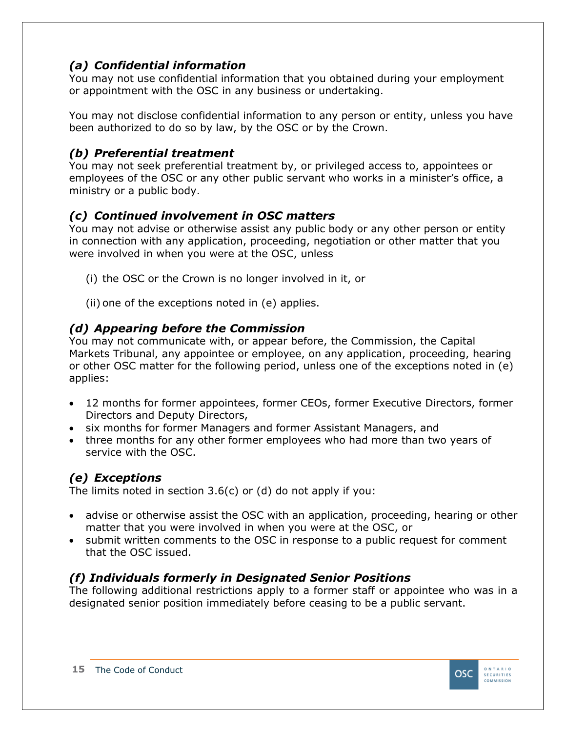#### *(a) Confidential information*

You may not use confidential information that you obtained during your employment or appointment with the OSC in any business or undertaking.

You may not disclose confidential information to any person or entity, unless you have been authorized to do so by law, by the OSC or by the Crown.

#### *(b) Preferential treatment*

You may not seek preferential treatment by, or privileged access to, appointees or employees of the OSC or any other public servant who works in a minister's office, a ministry or a public body.

#### *(c) Continued involvement in OSC matters*

You may not advise or otherwise assist any public body or any other person or entity in connection with any application, proceeding, negotiation or other matter that you were involved in when you were at the OSC, unless

- (i) the OSC or the Crown is no longer involved in it, or
- (ii) one of the exceptions noted in (e) applies.

#### *(d) Appearing before the Commission*

You may not communicate with, or appear before, the Commission, the Capital Markets Tribunal, any appointee or employee, on any application, proceeding, hearing or other OSC matter for the following period, unless one of the exceptions noted in (e) applies:

- 12 months for former appointees, former CEOs, former Executive Directors, former Directors and Deputy Directors,
- six months for former Managers and former Assistant Managers, and
- three months for any other former employees who had more than two years of service with the OSC.

#### *(e) Exceptions*

The limits noted in section 3.6(c) or (d) do not apply if you:

- advise or otherwise assist the OSC with an application, proceeding, hearing or other matter that you were involved in when you were at the OSC, or
- submit written comments to the OSC in response to a public request for comment that the OSC issued.

#### *(f) Individuals formerly in Designated Senior Positions*

The following additional restrictions apply to a former staff or appointee who was in a designated senior position immediately before ceasing to be a public servant.

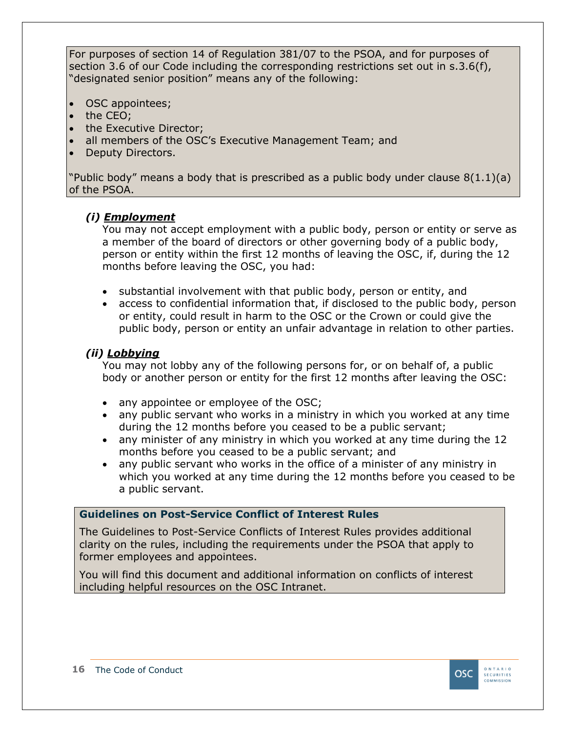For purposes of section 14 of Regulation 381/07 to the PSOA, and for purposes of section 3.6 of our Code including the corresponding restrictions set out in s.3.6(f), "designated senior position" means any of the following:

- OSC appointees;
- the CEO;
- the Executive Director:
- all members of the OSC's Executive Management Team; and
- Deputy Directors.

"Public body" means a body that is prescribed as a public body under clause  $8(1.1)(a)$ of the PSOA.

#### *(i) Employment*

You may not accept employment with a public body, person or entity or serve as a member of the board of directors or other governing body of a public body, person or entity within the first 12 months of leaving the OSC, if, during the 12 months before leaving the OSC, you had:

- substantial involvement with that public body, person or entity, and
- access to confidential information that, if disclosed to the public body, person or entity, could result in harm to the OSC or the Crown or could give the public body, person or entity an unfair advantage in relation to other parties.

#### *(ii) Lobbying*

You may not lobby any of the following persons for, or on behalf of, a public body or another person or entity for the first 12 months after leaving the OSC:

- any appointee or employee of the OSC;
- any public servant who works in a ministry in which you worked at any time during the 12 months before you ceased to be a public servant;
- any minister of any ministry in which you worked at any time during the 12 months before you ceased to be a public servant; and
- any public servant who works in the office of a minister of any ministry in which you worked at any time during the 12 months before you ceased to be a public servant.

#### **Guidelines on Post-Service Conflict of Interest Rules**

The Guidelines to Post-Service Conflicts of Interest Rules provides additional clarity on the rules, including the requirements under the PSOA that apply to former employees and appointees.

You will find this document and additional information on conflicts of interest including helpful resources on the OSC Intranet.

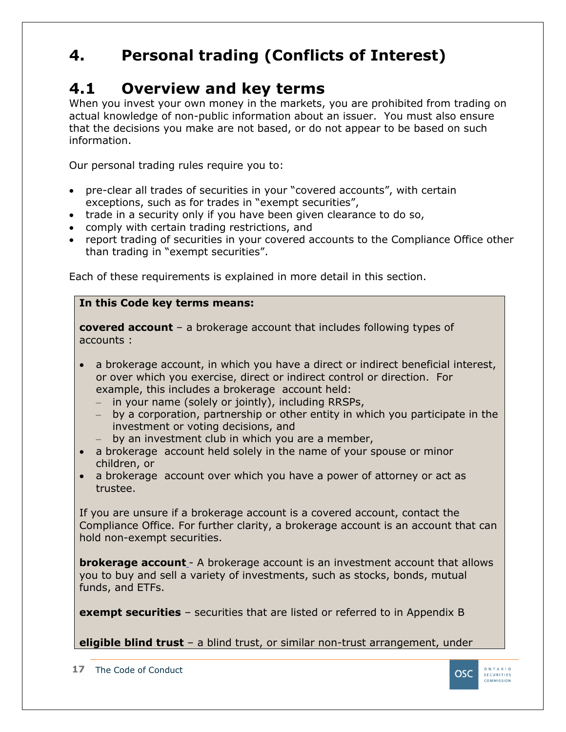### <span id="page-16-0"></span>**4. Personal trading (Conflicts of Interest)**

### <span id="page-16-1"></span>**4.1 Overview and key terms**

When you invest your own money in the markets, you are prohibited from trading on actual knowledge of non-public information about an issuer. You must also ensure that the decisions you make are not based, or do not appear to be based on such information.

Our personal trading rules require you to:

- pre-clear all trades of securities in your "covered accounts", with certain exceptions, such as for trades in "exempt securities",
- trade in a security only if you have been given clearance to do so,
- comply with certain trading restrictions, and
- report trading of securities in your covered accounts to the Compliance Office other than trading in "exempt securities".

Each of these requirements is explained in more detail in this section.

#### **In this Code key terms means:**

**covered account** – a brokerage account that includes following types of accounts :

- a brokerage account, in which you have a direct or indirect beneficial interest, or over which you exercise, direct or indirect control or direction. For example, this includes a brokerage account held:
	- ‒ by a corporation, partnership or other entity in which you participate in the investment or voting decisions, and
	- $-$  by an investment club in which you are a member,
- a brokerage account held solely in the name of your spouse or minor children, or
- a brokerage account over which you have a power of attorney or act as trustee.

If you are unsure if a brokerage account is a covered account, contact the Compliance Office. For further clarity, a brokerage account is an account that can hold non-exempt securities.

**brokerage account** - A brokerage account is an investment account that allows you to buy and sell a variety of investments, such as stocks, bonds, mutual funds, and ETFs.

**exempt securities** – securities that are listed or referred to in Appendix B

**eligible blind trust** – a blind trust, or similar non-trust arrangement, under



 $\overline{COMM}$  issued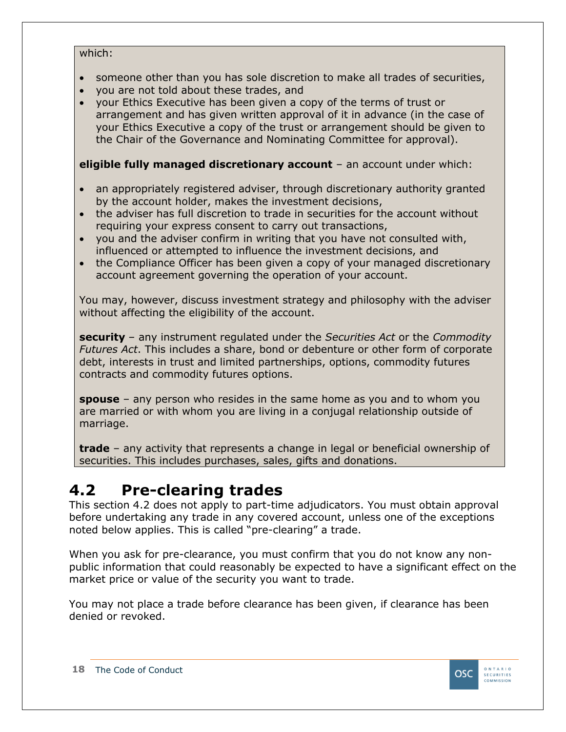#### which:

- someone other than you has sole discretion to make all trades of securities,
- you are not told about these trades, and
- your Ethics Executive has been given a copy of the terms of trust or arrangement and has given written approval of it in advance (in the case of your Ethics Executive a copy of the trust or arrangement should be given to the Chair of the Governance and Nominating Committee for approval).

#### **eligible fully managed discretionary account** – an account under which:

- an appropriately registered adviser, through discretionary authority granted by the account holder, makes the investment decisions,
- the adviser has full discretion to trade in securities for the account without requiring your express consent to carry out transactions,
- you and the adviser confirm in writing that you have not consulted with, influenced or attempted to influence the investment decisions, and
- the Compliance Officer has been given a copy of your managed discretionary account agreement governing the operation of your account.

You may, however, discuss investment strategy and philosophy with the adviser without affecting the eligibility of the account.

**security** – any instrument regulated under the *Securities Act* or the *Commodity Futures Act*. This includes a share, bond or debenture or other form of corporate debt, interests in trust and limited partnerships, options, commodity futures contracts and commodity futures options.

**spouse** – any person who resides in the same home as you and to whom you are married or with whom you are living in a conjugal relationship outside of marriage.

**trade** – any activity that represents a change in legal or beneficial ownership of securities. This includes purchases, sales, gifts and donations.

### <span id="page-17-0"></span>**4.2 Pre-clearing trades**

This section 4.2 does not apply to part-time adjudicators. You must obtain approval before undertaking any trade in any covered account, unless one of the exceptions noted below applies. This is called "pre-clearing" a trade.

When you ask for pre-clearance, you must confirm that you do not know any nonpublic information that could reasonably be expected to have a significant effect on the market price or value of the security you want to trade.

You may not place a trade before clearance has been given, if clearance has been denied or revoked.

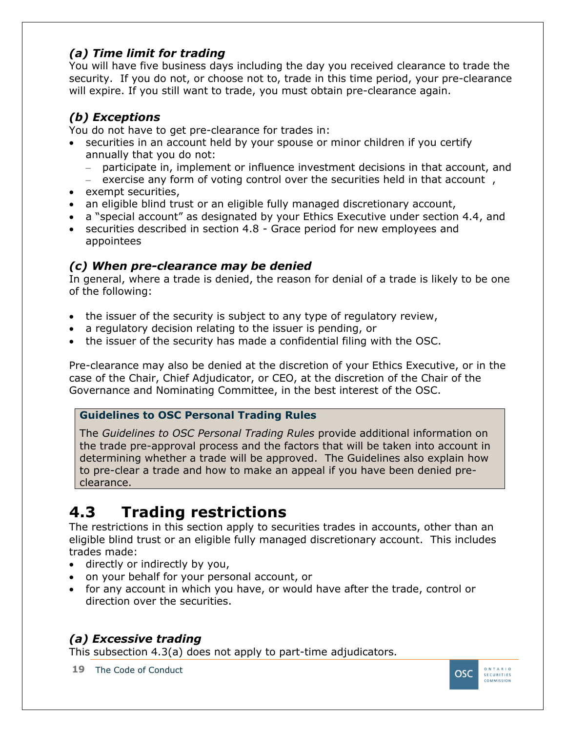| 2<br>3 | <b>Assets and property</b><br><b>Books and records</b> | 26<br>26 |
|--------|--------------------------------------------------------|----------|
| 4      | <b>Expenses</b>                                        | 27       |
| 8.     | Maintaining a safe and healthy workplace.              | 27       |
| 8      | <b>Overview</b>                                        | 27       |
| 22     | <b>Dignity and respect</b>                             | 27       |
| 8      | <b>N</b> discrimination or harassment                  | 27       |
| 8      | Providing services to people with disabilities         | 28       |
| 8      | <b>Safety and security</b>                             | 28       |
| 9.     | Reporting a conflict of interest.                      | 29       |
| 9      | When to report                                         | 29       |
| 2      | <b>Examples</b>                                        | 29       |
| 9      | <b>Exception</b>                                       | 29       |
| g      | Where send your report                                 | 29       |
| 9      | How your report is handled                             | Ø        |
|        | 10. Reporting a violation                              | 30       |
| 01     | <b>Overview</b>                                        | B        |
| 02     | How topert a violation of this Code                    | Ø        |
| 03     | How to report a wrongdoing                             | 3        |
| 04     | How we handle your report                              | 2        |
|        | <b>OSC Policies List.</b><br><b>Appendix A</b>         | 33       |
|        | <b>Appendix B</b><br><b>Exempt Securities</b>          | 34       |

 $\overline{4}$ 

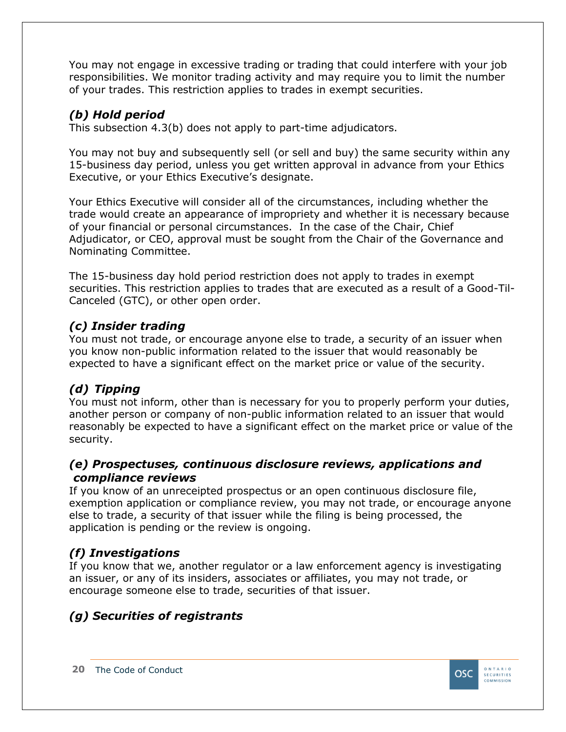You may not engage in excessive trading or trading that could interfere with your job responsibilities. We monitor trading activity and may require you to limit the number of your trades. This restriction applies to trades in exempt securities.

#### *(b) Hold period*

This subsection 4.3(b) does not apply to part-time adjudicators.

You may not buy and subsequently sell (or sell and buy) the same security within any 15-business day period, unless you get written approval in advance from your Ethics Executive, or your Ethics Executive's designate.

Your Ethics Executive will consider all of the circumstances, including whether the trade would create an appearance of impropriety and whether it is necessary because of your financial or personal circumstances. In the case of the Chair, Chief Adjudicator, or CEO, approval must be sought from the Chair of the Governance and Nominating Committee.

The 15-business day hold period restriction does not apply to trades in exempt securities. This restriction applies to trades that are executed as a result of a Good-Til-Canceled (GTC), or other open order.

#### *(c) Insider trading*

You must not trade, or encourage anyone else to trade, a security of an issuer when you know non-public information related to the issuer that would reasonably be expected to have a significant effect on the market price or value of the security.

#### *(d) Tipping*

You must not inform, other than is necessary for you to properly perform your duties, another person or company of non-public information related to an issuer that would reasonably be expected to have a significant effect on the market price or value of the security.

#### *(e) Prospectuses, continuous disclosure reviews, applications and compliance reviews*

If you know of an unreceipted prospectus or an open continuous disclosure file, exemption application or compliance review, you may not trade, or encourage anyone else to trade, a security of that issuer while the filing is being processed, the application is pending or the review is ongoing.

#### *(f) Investigations*

If you know that we, another regulator or a law enforcement agency is investigating an issuer, or any of its insiders, associates or affiliates, you may not trade, or encourage someone else to trade, securities of that issuer.

#### *(g) Securities of registrants*

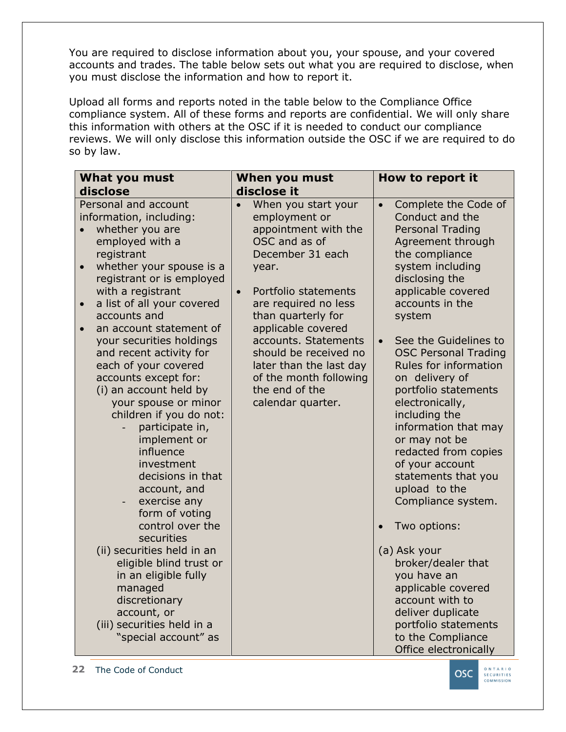You are required to disclose information about you, your spouse, and your covered accounts and trades. The table below sets out what you are required to disclose, when you must disclose the information and how to report it.

Upload all forms and reports noted in the table below to the Compliance Office compliance system. All of these forms and reports are confidential. We will only share this information with others at the OSC if it is needed to conduct our compliance reviews. We will only disclose this information outside the OSC if we are required to do so by law.

| What you must<br>disclose                                                                                                                                                                                                                                                                                                                                                                                                                                                                                                                                                                                                                                                                                                                                                                                                                                                  | When you must<br>disclose it                                                                                                                                                                                                                                                                                                                                                  | How to report it                                                                                                                                                                                                                                                                                                                                                                                                                                                                                                                                                                                                                                                                                                                                       |
|----------------------------------------------------------------------------------------------------------------------------------------------------------------------------------------------------------------------------------------------------------------------------------------------------------------------------------------------------------------------------------------------------------------------------------------------------------------------------------------------------------------------------------------------------------------------------------------------------------------------------------------------------------------------------------------------------------------------------------------------------------------------------------------------------------------------------------------------------------------------------|-------------------------------------------------------------------------------------------------------------------------------------------------------------------------------------------------------------------------------------------------------------------------------------------------------------------------------------------------------------------------------|--------------------------------------------------------------------------------------------------------------------------------------------------------------------------------------------------------------------------------------------------------------------------------------------------------------------------------------------------------------------------------------------------------------------------------------------------------------------------------------------------------------------------------------------------------------------------------------------------------------------------------------------------------------------------------------------------------------------------------------------------------|
| Personal and account<br>information, including:<br>whether you are<br>employed with a<br>registrant<br>whether your spouse is a<br>$\bullet$<br>registrant or is employed<br>with a registrant<br>a list of all your covered<br>$\bullet$<br>accounts and<br>an account statement of<br>$\bullet$<br>your securities holdings<br>and recent activity for<br>each of your covered<br>accounts except for:<br>(i) an account held by<br>your spouse or minor<br>children if you do not:<br>participate in,<br>implement or<br>influence<br>investment<br>decisions in that<br>account, and<br>exercise any<br>$\overline{\phantom{a}}$<br>form of voting<br>control over the<br>securities<br>(ii) securities held in an<br>eligible blind trust or<br>in an eligible fully<br>managed<br>discretionary<br>account, or<br>(iii) securities held in a<br>"special account" as | When you start your<br>$\bullet$<br>employment or<br>appointment with the<br>OSC and as of<br>December 31 each<br>year.<br>Portfolio statements<br>$\bullet$<br>are required no less<br>than quarterly for<br>applicable covered<br>accounts. Statements<br>should be received no<br>later than the last day<br>of the month following<br>the end of the<br>calendar quarter. | Complete the Code of<br>$\bullet$<br>Conduct and the<br><b>Personal Trading</b><br>Agreement through<br>the compliance<br>system including<br>disclosing the<br>applicable covered<br>accounts in the<br>system<br>See the Guidelines to<br>$\bullet$<br><b>OSC Personal Trading</b><br>Rules for information<br>on delivery of<br>portfolio statements<br>electronically,<br>including the<br>information that may<br>or may not be<br>redacted from copies<br>of your account<br>statements that you<br>upload to the<br>Compliance system.<br>Two options:<br>(a) Ask your<br>broker/dealer that<br>you have an<br>applicable covered<br>account with to<br>deliver duplicate<br>portfolio statements<br>to the Compliance<br>Office electronically |

**22** The Code of Conduct

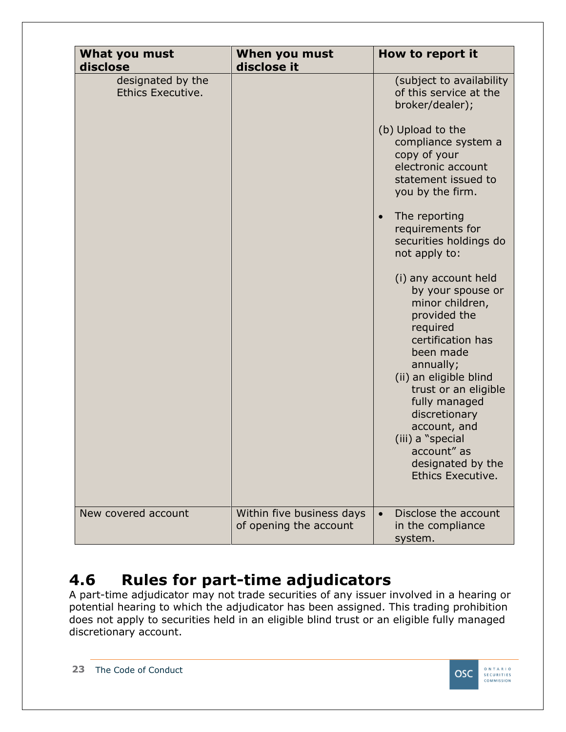| What you must<br>disclose              | When you must<br>disclose it                        | How to report it                                                                                                                                                                                                                                                                                                                                                                                                                                                                                                                                                                                                            |
|----------------------------------------|-----------------------------------------------------|-----------------------------------------------------------------------------------------------------------------------------------------------------------------------------------------------------------------------------------------------------------------------------------------------------------------------------------------------------------------------------------------------------------------------------------------------------------------------------------------------------------------------------------------------------------------------------------------------------------------------------|
| designated by the<br>Ethics Executive. |                                                     | (subject to availability<br>of this service at the<br>broker/dealer);<br>(b) Upload to the<br>compliance system a<br>copy of your<br>electronic account<br>statement issued to<br>you by the firm.<br>The reporting<br>$\bullet$<br>requirements for<br>securities holdings do<br>not apply to:<br>(i) any account held<br>by your spouse or<br>minor children,<br>provided the<br>required<br>certification has<br>been made<br>annually;<br>(ii) an eligible blind<br>trust or an eligible<br>fully managed<br>discretionary<br>account, and<br>(iii) a "special<br>account" as<br>designated by the<br>Ethics Executive. |
| New covered account                    | Within five business days<br>of opening the account | Disclose the account<br>$\bullet$<br>in the compliance<br>system.                                                                                                                                                                                                                                                                                                                                                                                                                                                                                                                                                           |

### <span id="page-22-0"></span>**4.6 Rules for part-time adjudicators**

A part-time adjudicator may not trade securities of any issuer involved in a hearing or potential hearing to which the adjudicator has been assigned. This trading prohibition does not apply to securities held in an eligible blind trust or an eligible fully managed discretionary account.

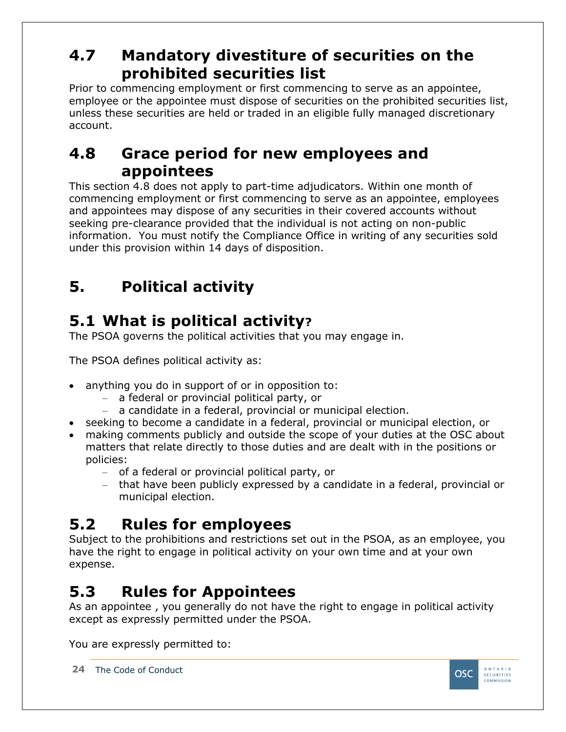### <span id="page-23-0"></span>**4.7 Mandatory divestiture of securities on the prohibited securities list**

Prior to commencing employment or first commencing to serve as an appointee, employee or the appointee must dispose of securities on the prohibited securities list, unless these securities are held or traded in an eligible fully managed discretionary account.

### <span id="page-23-1"></span>**4.8 Grace period for new employees and appointees**

This section 4.8 does not apply to part-time adjudicators. Within one month of commencing employment or first commencing to serve as an appointee, employees and appointees may dispose of any securities in their covered accounts without seeking pre-clearance provided that the individual is not acting on non-public information. You must notify the Compliance Office in writing of any securities sold under this provision within 14 days of disposition.

# <span id="page-23-2"></span>**5. Political activity**

# <span id="page-23-3"></span>**5.1 What is political activity?**

The PSOA governs the political activities that you may engage in.

The PSOA defines political activity as:

- anything you do in support of or in opposition to:
	- ‒ a federal or provincial political party, or
	- a candidate in a federal, provincial or municipal election.
- seeking to become a candidate in a federal, provincial or municipal election, or
- making comments publicly and outside the scope of your duties at the OSC about matters that relate directly to those duties and are dealt with in the positions or policies:
	- ‒ of a federal or provincial political party, or
	- ‒ that have been publicly expressed by a candidate in a federal, provincial or municipal election.

# <span id="page-23-4"></span>**5.2 Rules for employees**

Subject to the prohibitions and restrictions set out in the PSOA, as an employee, you have the right to engage in political activity on your own time and at your own expense.

# <span id="page-23-5"></span>**5.3 Rules for Appointees**

As an appointee , you generally do not have the right to engage in political activity except as expressly permitted under the PSOA.

You are expressly permitted to:

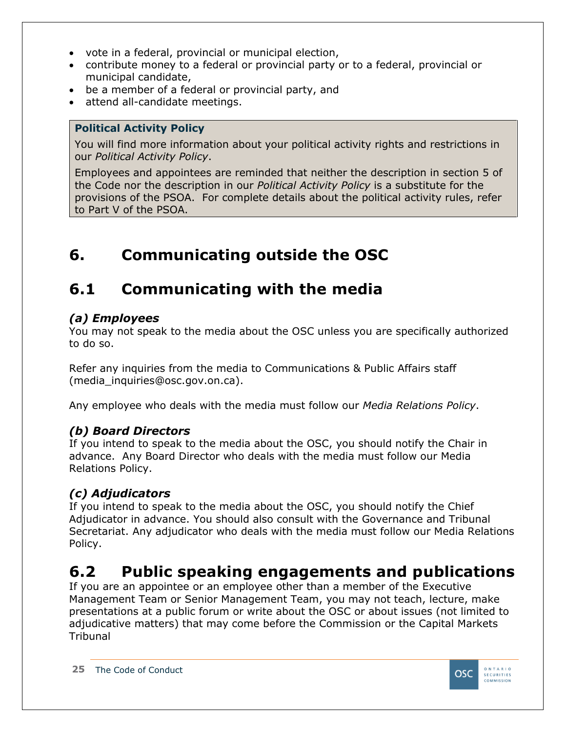- vote in a federal, provincial or municipal election,
- contribute money to a federal or provincial party or to a federal, provincial or municipal candidate,
- be a member of a federal or provincial party, and
- attend all-candidate meetings.

#### **Political Activity Policy**

You will find more information about your political activity rights and restrictions in our *Political Activity Policy*.

Employees and appointees are reminded that neither the description in section 5 of the Code nor the description in our *Political Activity Policy* is a substitute for the provisions of the PSOA. For complete details about the political activity rules, refer to Part V of the PSOA.

### <span id="page-24-0"></span>**6. Communicating outside the OSC**

### <span id="page-24-1"></span>**6.1 Communicating with the media**

#### *(a) Employees*

You may not speak to the media about the OSC unless you are specifically authorized to do so.

Refer any inquiries from the media to Communications & Public Affairs staff (media\_inquiries@osc.gov.on.ca).

Any employee who deals with the media must follow our *Media Relations Policy*.

#### *(b) Board Directors*

If you intend to speak to the media about the OSC, you should notify the Chair in advance. Any Board Director who deals with the media must follow our Media Relations Policy.

#### *(c) Adjudicators*

If you intend to speak to the media about the OSC, you should notify the Chief Adjudicator in advance. You should also consult with the Governance and Tribunal Secretariat. Any adjudicator who deals with the media must follow our Media Relations Policy.

### <span id="page-24-2"></span>**6.2 Public speaking engagements and publications**

If you are an appointee or an employee other than a member of the Executive Management Team or Senior Management Team, you may not teach, lecture, make presentations at a public forum or write about the OSC or about issues (not limited to adjudicative matters) that may come before the Commission or the Capital Markets **Tribunal** 

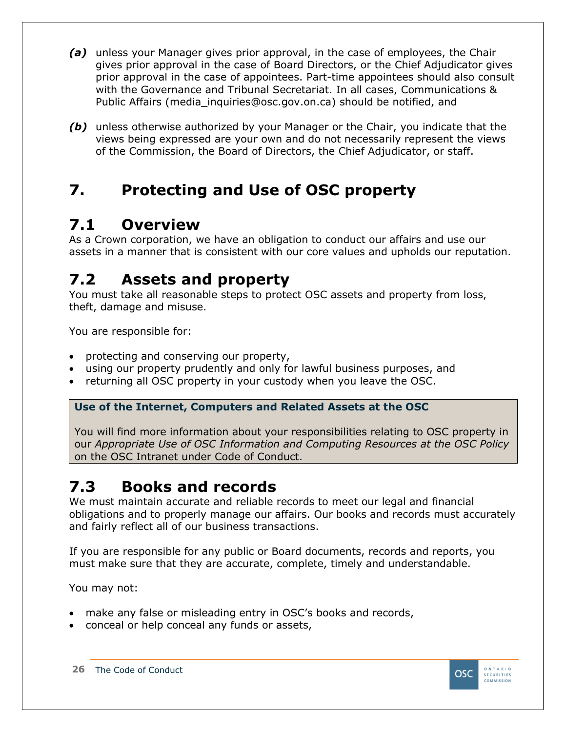- *(a)* unless your Manager gives prior approval, in the case of employees, the Chair gives prior approval in the case of Board Directors, or the Chief Adjudicator gives prior approval in the case of appointees. Part-time appointees should also consult with the Governance and Tribunal Secretariat. In all cases, Communications & Public Affairs (media\_inquiries@osc.gov.on.ca) should be notified, and
- *(b)* unless otherwise authorized by your Manager or the Chair, you indicate that the views being expressed are your own and do not necessarily represent the views of the Commission, the Board of Directors, the Chief Adjudicator, or staff.

### <span id="page-25-0"></span>**7. Protecting and Use of OSC property**

### <span id="page-25-1"></span>**7.1 Overview**

As a Crown corporation, we have an obligation to conduct our affairs and use our assets in a manner that is consistent with our core values and upholds our reputation.

### <span id="page-25-2"></span>**7.2 Assets and property**

You must take all reasonable steps to protect OSC assets and property from loss, theft, damage and misuse.

You are responsible for:

- protecting and conserving our property,
- using our property prudently and only for lawful business purposes, and
- returning all OSC property in your custody when you leave the OSC.

#### **Use of the Internet, Computers and Related Assets at the OSC**

You will find more information about your responsibilities relating to OSC property in our *Appropriate Use of OSC Information and Computing Resources at the OSC Policy* on the OSC Intranet under Code of Conduct.

# <span id="page-25-3"></span>**7.3 Books and records**

We must maintain accurate and reliable records to meet our legal and financial obligations and to properly manage our affairs. Our books and records must accurately and fairly reflect all of our business transactions.

If you are responsible for any public or Board documents, records and reports, you must make sure that they are accurate, complete, timely and understandable.

You may not:

- make any false or misleading entry in OSC's books and records,
- conceal or help conceal any funds or assets,

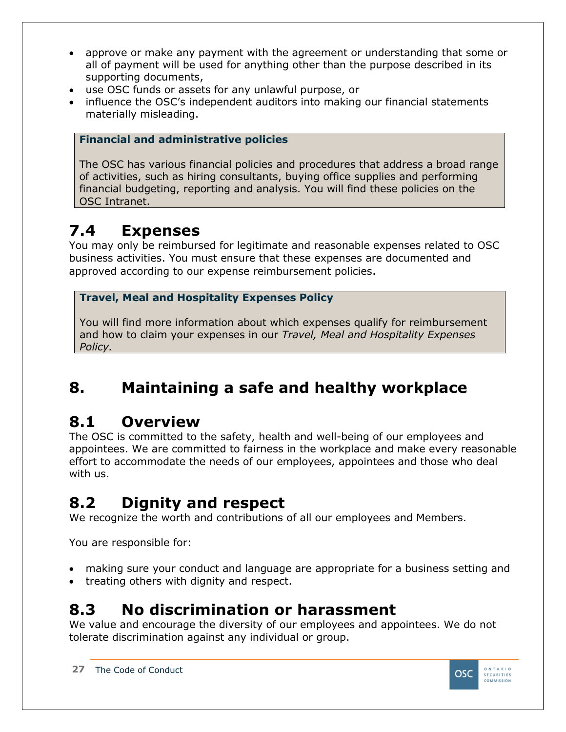- approve or make any payment with the agreement or understanding that some or all of payment will be used for anything other than the purpose described in its supporting documents,
- use OSC funds or assets for any unlawful purpose, or
- influence the OSC's independent auditors into making our financial statements materially misleading.

#### **Financial and administrative policies**

The OSC has various financial policies and procedures that address a broad range of activities, such as hiring consultants, buying office supplies and performing financial budgeting, reporting and analysis. You will find these policies on the OSC Intranet.

### <span id="page-26-0"></span>**7.4 Expenses**

You may only be reimbursed for legitimate and reasonable expenses related to OSC business activities. You must ensure that these expenses are documented and approved according to our expense reimbursement policies.

#### **Travel, Meal and Hospitality Expenses Policy**

You will find more information about which expenses qualify for reimbursement and how to claim your expenses in our *Travel, Meal and Hospitality Expenses Policy.*

### <span id="page-26-1"></span>**8. Maintaining a safe and healthy workplace**

### <span id="page-26-2"></span>**8.1 Overview**

The OSC is committed to the safety, health and well-being of our employees and appointees. We are committed to fairness in the workplace and make every reasonable effort to accommodate the needs of our employees, appointees and those who deal with us.

# <span id="page-26-3"></span>**8.2 Dignity and respect**

We recognize the worth and contributions of all our employees and Members.

You are responsible for:

- making sure your conduct and language are appropriate for a business setting and
- treating others with dignity and respect.

### <span id="page-26-4"></span>**8.3 No discrimination or harassment**

We value and encourage the diversity of our employees and appointees. We do not tolerate discrimination against any individual or group.

**27** The Code of Conduct

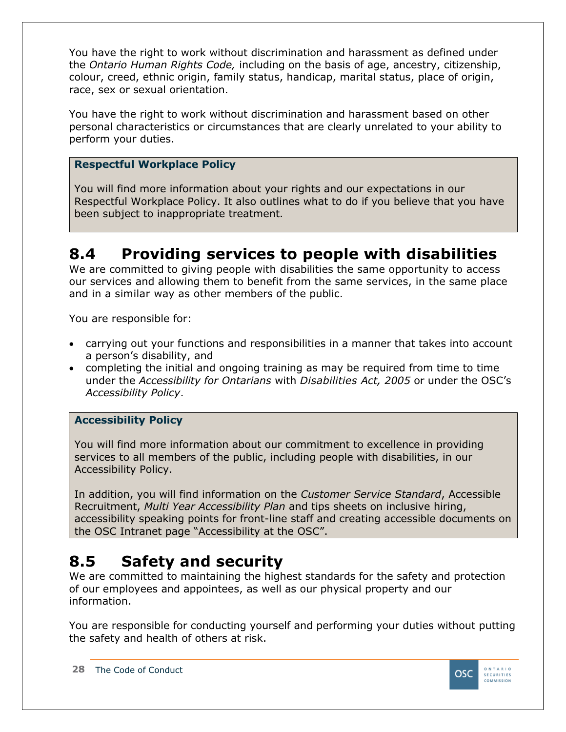You have the right to work without discrimination and harassment as defined under the *Ontario Human Rights Code,* including on the basis of age, ancestry, citizenship, colour, creed, ethnic origin, family status, handicap, marital status, place of origin, race, sex or sexual orientation.

You have the right to work without discrimination and harassment based on other personal characteristics or circumstances that are clearly unrelated to your ability to perform your duties.

#### **Respectful Workplace Policy**

You will find more information about your rights and our expectations in our Respectful Workplace Policy. It also outlines what to do if you believe that you have been subject to inappropriate treatment.

### <span id="page-27-0"></span>**8.4 Providing services to people with disabilities**

We are committed to giving people with disabilities the same opportunity to access our services and allowing them to benefit from the same services, in the same place and in a similar way as other members of the public.

You are responsible for:

- carrying out your functions and responsibilities in a manner that takes into account a person's disability, and
- completing the initial and ongoing training as may be required from time to time under the *Accessibility for Ontarians* with *Disabilities Act, 2005* or under the OSC's *Accessibility Policy*.

#### **Accessibility Policy**

You will find more information about our commitment to excellence in providing services to all members of the public, including people with disabilities, in our Accessibility Policy.

In addition, you will find information on the *Customer Service Standard*, Accessible Recruitment, *Multi Year Accessibility Plan* and tips sheets on inclusive hiring, accessibility speaking points for front-line staff and creating accessible documents on the OSC Intranet page "Accessibility at the OSC".

### <span id="page-27-1"></span>**8.5 Safety and security**

We are committed to maintaining the highest standards for the safety and protection of our employees and appointees, as well as our physical property and our information.

You are responsible for conducting yourself and performing your duties without putting the safety and health of others at risk.

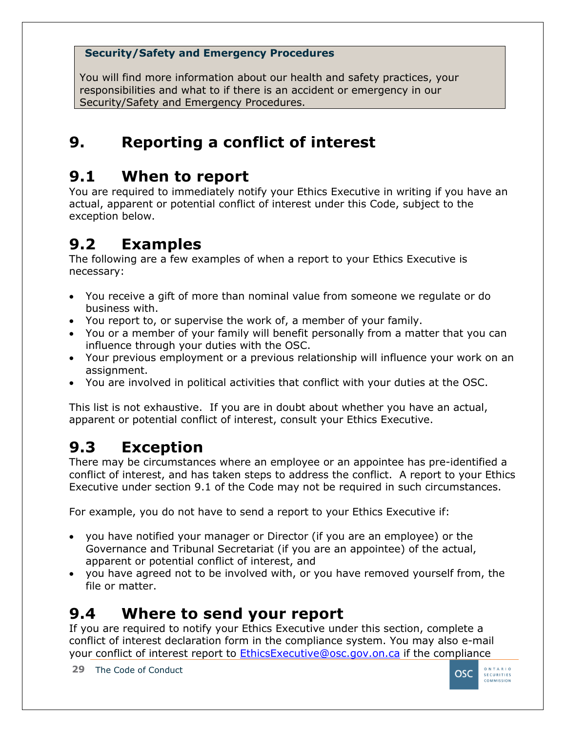#### **Security/Safety and Emergency Procedures**

You will find more information about our health and safety practices, your responsibilities and what to if there is an accident or emergency in our Security/Safety and Emergency Procedures.

### <span id="page-28-0"></span>**9. Reporting a conflict of interest**

### <span id="page-28-1"></span>**9.1 When to report**

You are required to immediately notify your Ethics Executive in writing if you have an actual, apparent or potential conflict of interest under this Code, subject to the exception below.

### <span id="page-28-2"></span>**9.2 Examples**

The following are a few examples of when a report to your Ethics Executive is necessary:

- You receive a gift of more than nominal value from someone we regulate or do business with.
- You report to, or supervise the work of, a member of your family.
- You or a member of your family will benefit personally from a matter that you can influence through your duties with the OSC.
- Your previous employment or a previous relationship will influence your work on an assignment.
- You are involved in political activities that conflict with your duties at the OSC.

This list is not exhaustive. If you are in doubt about whether you have an actual, apparent or potential conflict of interest, consult your Ethics Executive.

# <span id="page-28-3"></span>**9.3 Exception**

There may be circumstances where an employee or an appointee has pre-identified a conflict of interest, and has taken steps to address the conflict. A report to your Ethics Executive under section 9.1 of the Code may not be required in such circumstances.

For example, you do not have to send a report to your Ethics Executive if:

- you have notified your manager or Director (if you are an employee) or the Governance and Tribunal Secretariat (if you are an appointee) of the actual, apparent or potential conflict of interest, and
- you have agreed not to be involved with, or you have removed yourself from, the file or matter.

### <span id="page-28-4"></span>**9.4 Where to send your report**

If you are required to notify your Ethics Executive under this section, complete a conflict of interest declaration form in the compliance system. You may also e-mail your conflict of interest report to [EthicsExecutive@osc.gov.on.ca](file://///Fileshare/MISC/Compliance%20Office/Code%20of%20Conduct%20Amendments/1-%20Code%20Updates%202018/Code%20of%20Conduct/EthicsExecutive@osc.gov.on.ca) if the compliance

**29** The Code of Conduct

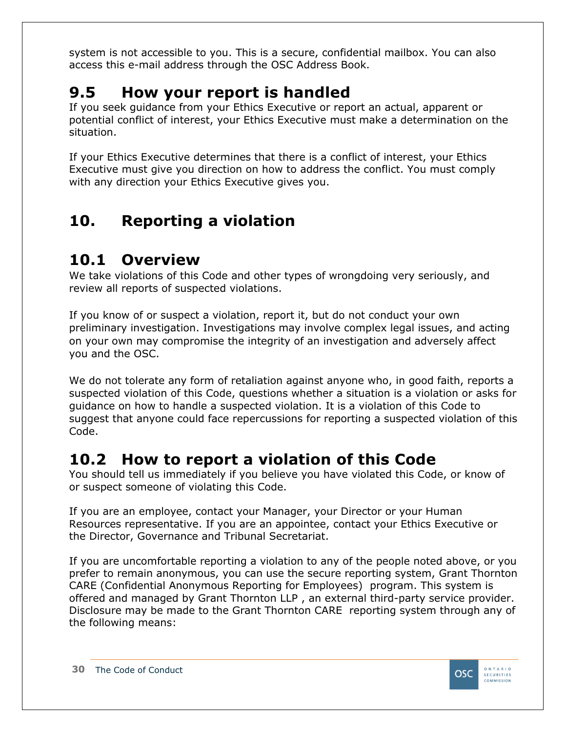system is not accessible to you. This is a secure, confidential mailbox. You can also access this e-mail address through the OSC Address Book.

### <span id="page-29-0"></span>**9.5 How your report is handled**

If you seek guidance from your Ethics Executive or report an actual, apparent or potential conflict of interest, your Ethics Executive must make a determination on the situation.

If your Ethics Executive determines that there is a conflict of interest, your Ethics Executive must give you direction on how to address the conflict. You must comply with any direction your Ethics Executive gives you.

### <span id="page-29-1"></span>**10. Reporting a violation**

### <span id="page-29-2"></span>**10.1 Overview**

We take violations of this Code and other types of wrongdoing very seriously, and review all reports of suspected violations.

If you know of or suspect a violation, report it, but do not conduct your own preliminary investigation. Investigations may involve complex legal issues, and acting on your own may compromise the integrity of an investigation and adversely affect you and the OSC.

We do not tolerate any form of retaliation against anyone who, in good faith, reports a suspected violation of this Code, questions whether a situation is a violation or asks for guidance on how to handle a suspected violation. It is a violation of this Code to suggest that anyone could face repercussions for reporting a suspected violation of this Code.

### <span id="page-29-3"></span>**10.2 How to report a violation of this Code**

You should tell us immediately if you believe you have violated this Code, or know of or suspect someone of violating this Code.

If you are an employee, contact your Manager, your Director or your Human Resources representative. If you are an appointee, contact your Ethics Executive or the Director, Governance and Tribunal Secretariat.

If you are uncomfortable reporting a violation to any of the people noted above, or you prefer to remain anonymous, you can use the secure reporting system, Grant Thornton CARE (Confidential Anonymous Reporting for Employees) program. This system is offered and managed by Grant Thornton LLP , an external third-party service provider. Disclosure may be made to the Grant Thornton CARE reporting system through any of the following means:

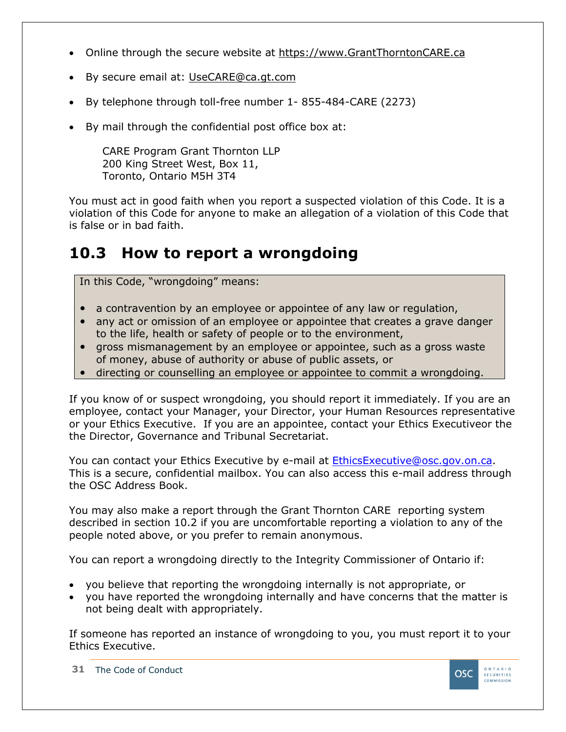- Online through the secure website at [https://www.GrantThorntonCARE.ca](https://www.grantthorntoncare.ca/)
- By secure email at: [UseCARE@ca.gt.com](mailto:UseCARE@ca.gt.com)
- By telephone through toll-free number 1- 855-484-CARE (2273)
- By mail through the confidential post office box at:

CARE Program Grant Thornton LLP 200 King Street West, Box 11, Toronto, Ontario M5H 3T4

You must act in good faith when you report a suspected violation of this Code. It is a violation of this Code for anyone to make an allegation of a violation of this Code that is false or in bad faith.

### <span id="page-30-0"></span>**10.3 How to report a wrongdoing**

In this Code, "wrongdoing" means:

- a contravention by an employee or appointee of any law or regulation,
- any act or omission of an employee or appointee that creates a grave danger to the life, health or safety of people or to the environment,
- gross mismanagement by an employee or appointee, such as a gross waste of money, abuse of authority or abuse of public assets, or
- directing or counselling an employee or appointee to commit a wrongdoing.

If you know of or suspect wrongdoing, you should report it immediately. If you are an employee, contact your Manager, your Director, your Human Resources representative or your Ethics Executive. If you are an appointee, contact your Ethics Executiveor the the Director, Governance and Tribunal Secretariat.

You can contact your Ethics Executive by e-mail at [EthicsExecutive@osc.gov.on.ca.](file://///Fileshare/MISC/Compliance%20Office/Code%20of%20Conduct%20Amendments/1-%20Code%20Updates%202018/Code%20of%20Conduct/EthicsExecutive@osc.gov.on.ca) This is a secure, confidential mailbox. You can also access this e-mail address through the OSC Address Book.

You may also make a report through the Grant Thornton CARE reporting system described in section 10.2 if you are uncomfortable reporting a violation to any of the people noted above, or you prefer to remain anonymous.

You can report a wrongdoing directly to the Integrity Commissioner of Ontario if:

- you believe that reporting the wrongdoing internally is not appropriate, or
- you have reported the wrongdoing internally and have concerns that the matter is not being dealt with appropriately.

If someone has reported an instance of wrongdoing to you, you must report it to your Ethics Executive.

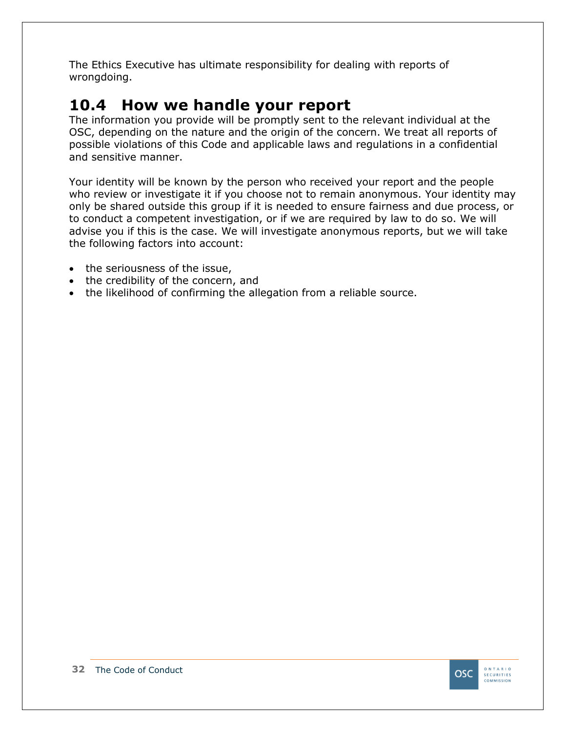The Ethics Executive has ultimate responsibility for dealing with reports of wrongdoing.

### <span id="page-31-0"></span>**10.4 How we handle your report**

The information you provide will be promptly sent to the relevant individual at the OSC, depending on the nature and the origin of the concern. We treat all reports of possible violations of this Code and applicable laws and regulations in a confidential and sensitive manner.

Your identity will be known by the person who received your report and the people who review or investigate it if you choose not to remain anonymous. Your identity may only be shared outside this group if it is needed to ensure fairness and due process, or to conduct a competent investigation, or if we are required by law to do so. We will advise you if this is the case. We will investigate anonymous reports, but we will take the following factors into account:

- the seriousness of the issue,
- the credibility of the concern, and
- the likelihood of confirming the allegation from a reliable source.

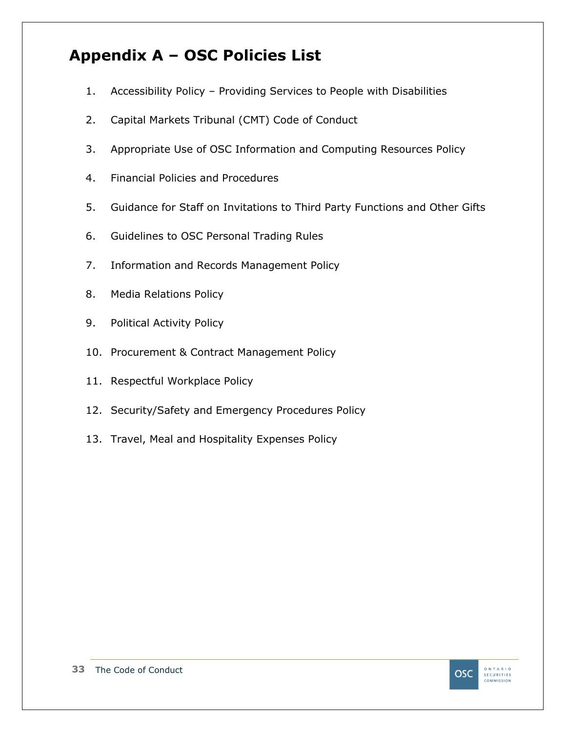### <span id="page-32-0"></span>**Appendix A – OSC Policies List**

- 1. Accessibility Policy Providing Services to People with Disabilities
- 2. Capital Markets Tribunal (CMT) Code of Conduct
- 3. Appropriate Use of OSC Information and Computing Resources Policy
- 4. Financial Policies and Procedures
- 5. Guidance for Staff on Invitations to Third Party Functions and Other Gifts
- 6. Guidelines to OSC Personal Trading Rules
- 7. Information and Records Management Policy
- 8. Media Relations Policy
- 9. Political Activity Policy
- 10. Procurement & Contract Management Policy
- 11. Respectful Workplace Policy
- 12. Security/Safety and Emergency Procedures Policy
- 13. Travel, Meal and Hospitality Expenses Policy

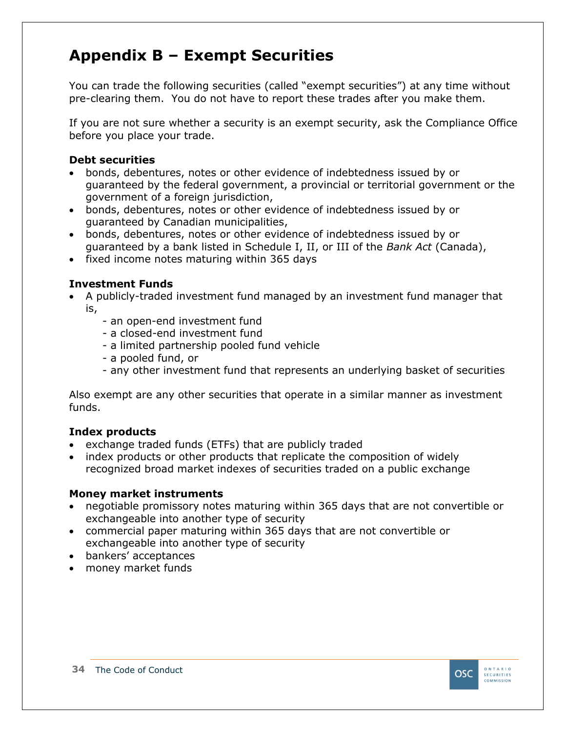### <span id="page-33-0"></span>**Appendix B – Exempt Securities**

You can trade the following securities (called "exempt securities") at any time without pre-clearing them. You do not have to report these trades after you make them.

If you are not sure whether a security is an exempt security, ask the Compliance Office before you place your trade.

#### **Debt securities**

- bonds, debentures, notes or other evidence of indebtedness issued by or guaranteed by the federal government, a provincial or territorial government or the government of a foreign jurisdiction,
- bonds, debentures, notes or other evidence of indebtedness issued by or guaranteed by Canadian municipalities,
- bonds, debentures, notes or other evidence of indebtedness issued by or guaranteed by a bank listed in Schedule I, II, or III of the *Bank Act* (Canada),
- fixed income notes maturing within 365 days

#### **Investment Funds**

- A publicly-traded investment fund managed by an investment fund manager that is,
	- an open-end investment fund
	- a closed-end investment fund
	- a limited partnership pooled fund vehicle
	- a pooled fund, or
	- any other investment fund that represents an underlying basket of securities

Also exempt are any other securities that operate in a similar manner as investment funds.

#### **Index products**

- exchange traded funds (ETFs) that are publicly traded
- index products or other products that replicate the composition of widely recognized broad market indexes of securities traded on a public exchange

#### **Money market instruments**

- negotiable promissory notes maturing within 365 days that are not convertible or exchangeable into another type of security
- commercial paper maturing within 365 days that are not convertible or exchangeable into another type of security
- bankers' acceptances
- money market funds